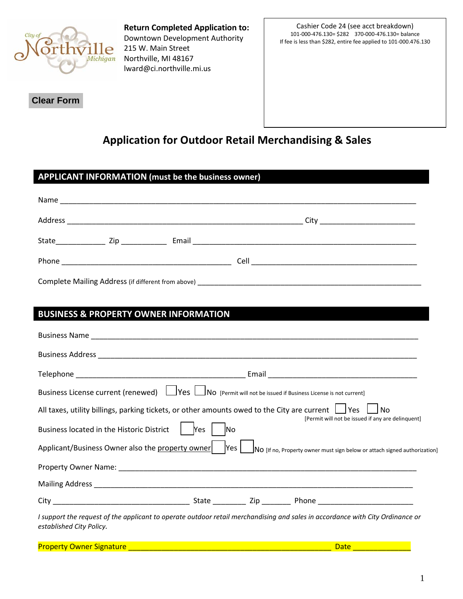

**Return Completed Application to:** Downtown Development Authority 215 W. Main Street Northville, MI 48167 lward@ci.northville.mi.us

Cashier Code 24 (see acct breakdown) 101-000-476.130= \$282 370-000-476.130= balance If fee is less than \$282, entire fee applied to 101-000.476.130

**Clear Form**

I

# **Application for Outdoor Retail Merchandising & Sales**

|                                                  | <b>APPLICANT INFORMATION (must be the business owner)</b>                                                                      |
|--------------------------------------------------|--------------------------------------------------------------------------------------------------------------------------------|
|                                                  |                                                                                                                                |
|                                                  |                                                                                                                                |
|                                                  |                                                                                                                                |
|                                                  |                                                                                                                                |
|                                                  |                                                                                                                                |
|                                                  |                                                                                                                                |
| <b>BUSINESS &amp; PROPERTY OWNER INFORMATION</b> |                                                                                                                                |
|                                                  |                                                                                                                                |
|                                                  |                                                                                                                                |
|                                                  |                                                                                                                                |
|                                                  | Business License current (renewed)   Yes   No [Permit will not be issued if Business License is not current]                   |
|                                                  | All taxes, utility billings, parking tickets, or other amounts owed to the City are current $\Box$ Yes<br><b>No</b>            |
| Business located in the Historic District        | [Permit will not be issued if any are delinguent]<br>Yes<br><b>INO</b>                                                         |
|                                                  | Applicant/Business Owner also the property owner Yes No [If no, Property owner must sign below or attach signed authorization] |
|                                                  |                                                                                                                                |
|                                                  |                                                                                                                                |
|                                                  |                                                                                                                                |
| established City Policy.                         | I support the request of the applicant to operate outdoor retail merchandising and sales in accordance with City Ordinance or  |

Property Owner Signature \_\_\_\_\_\_\_\_\_\_\_\_\_\_\_\_\_\_\_\_\_\_\_\_\_\_\_\_\_\_\_\_\_\_\_\_\_\_\_\_\_\_\_\_\_\_\_\_\_ Date \_\_\_\_\_\_\_\_\_\_\_\_\_\_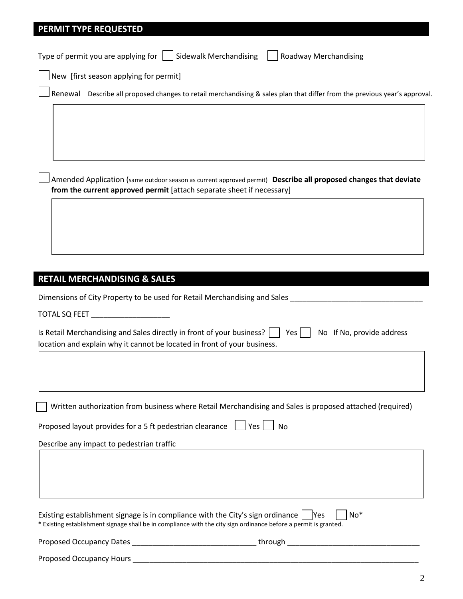# **PERMIT TYPE REQUESTED**

Type of permit you are applying for  $\vert \vert$  Sidewalk Merchandising  $\vert \vert$  Roadway Merchandising

New [first season applying for permit]

Renewal Describe all proposed changes to retail merchandising & sales plan that differ from the previous year's approval.

 Amended Application (same outdoor season as current approved permit) **Describe all proposed changes that deviate from the current approved permit** [attach separate sheet if necessary]

# **RETAIL MERCHANDISING & SALES**

Dimensions of City Property to be used for Retail Merchandising and Sales \_\_\_\_\_\_\_\_\_\_\_\_\_\_\_\_\_\_\_\_\_\_\_\_\_\_\_\_\_\_\_\_

TOTAL SQ FEET **\_\_\_\_\_\_\_\_\_\_\_\_\_\_\_\_\_\_\_** 

| Is Retail Merchandising and Sales directly in front of your business? $\Box$ Yes $\Box$ No If No, provide address |  |
|-------------------------------------------------------------------------------------------------------------------|--|
| location and explain why it cannot be located in front of your business.                                          |  |

Written authorization from business where Retail Merchandising and Sales is proposed attached (required)

Proposed layout provides for a 5 ft pedestrian clearance  $\Box$  Yes  $\Box$  No

Describe any impact to pedestrian traffic

| Existing establishment signage is in compliance with the City's sign ordinance $\Box$ Yes<br>$\mathsf{No*}$      |  |
|------------------------------------------------------------------------------------------------------------------|--|
| * Existing establishment signage shall be in compliance with the city sign ordinance before a permit is granted. |  |
|                                                                                                                  |  |

| <b>Proposed Occupancy Dates</b><br>. . |  |  |
|----------------------------------------|--|--|
|                                        |  |  |

Proposed Occupancy Hours \_\_\_\_\_\_\_\_\_\_\_\_\_\_\_\_\_\_\_\_\_\_\_\_\_\_\_\_\_\_\_\_\_\_\_\_\_\_\_\_\_\_\_\_\_\_\_\_\_\_\_\_\_\_\_\_\_\_\_\_\_\_\_\_\_\_\_\_\_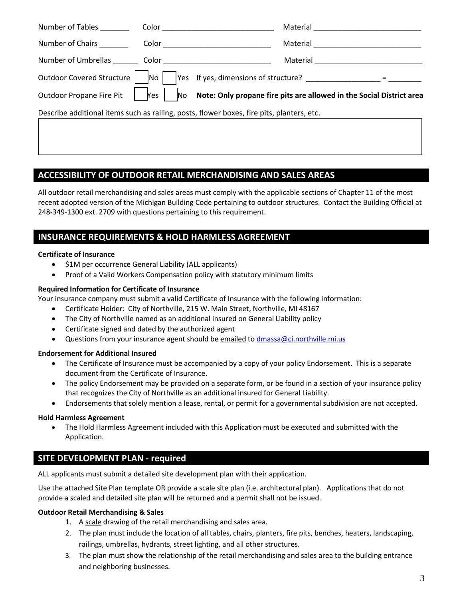| Number of Tables                | Color                    | Material                                                                                  |
|---------------------------------|--------------------------|-------------------------------------------------------------------------------------------|
| Number of Chairs                | Color                    | Material                                                                                  |
| Number of Umbrellas Color Color |                          | Material                                                                                  |
| Outdoor Covered Structure       | $\overline{\mathsf{No}}$ | Yes If yes, dimensions of structure? _____________                                        |
| <b>Outdoor Propane Fire Pit</b> | Yes                      | No Note: Only propane fire pits are allowed in the Social District area                   |
|                                 |                          | Describe additional items such as railing, posts, flower boxes, fire pits, planters, etc. |
|                                 |                          |                                                                                           |
|                                 |                          |                                                                                           |

# **ACCESSIBILITY OF OUTDOOR RETAIL MERCHANDISING AND SALES AREAS**

All outdoor retail merchandising and sales areas must comply with the applicable sections of Chapter 11 of the most recent adopted version of the Michigan Building Code pertaining to outdoor structures. Contact the Building Official at 248-349-1300 ext. 2709 with questions pertaining to this requirement.

# **INSURANCE REQUIREMENTS & HOLD HARMLESS AGREEMENT**

### **Certificate of Insurance**

- \$1M per occurrence General Liability (ALL applicants)
- Proof of a Valid Workers Compensation policy with statutory minimum limits

## **Required Information for Certificate of Insurance**

Your insurance company must submit a valid Certificate of Insurance with the following information:

- Certificate Holder: City of Northville, 215 W. Main Street, Northville, MI 48167
- The City of Northville named as an additional insured on General Liability policy
- Certificate signed and dated by the authorized agent
- Questions from your insurance agent should be emailed to dmassa@ci.northville.mi.us

### **Endorsement for Additional Insured**

- The Certificate of Insurance must be accompanied by a copy of your policy Endorsement. This is a separate document from the Certificate of Insurance.
- The policy Endorsement may be provided on a separate form, or be found in a section of your insurance policy that recognizes the City of Northville as an additional insured for General Liability.
- Endorsements that solely mention a lease, rental, or permit for a governmental subdivision are not accepted.

# **Hold Harmless Agreement**

• The Hold Harmless Agreement included with this Application must be executed and submitted with the Application.

# **SITE DEVELOPMENT PLAN - required**

ALL applicants must submit a detailed site development plan with their application.

Use the attached Site Plan template OR provide a scale site plan (i.e. architectural plan). Applications that do not provide a scaled and detailed site plan will be returned and a permit shall not be issued.

### **Outdoor Retail Merchandising & Sales**

- 1. A scale drawing of the retail merchandising and sales area.
- 2. The plan must include the location of all tables, chairs, planters, fire pits, benches, heaters, landscaping, railings, umbrellas, hydrants, street lighting, and all other structures.
- 3. The plan must show the relationship of the retail merchandising and sales area to the building entrance and neighboring businesses.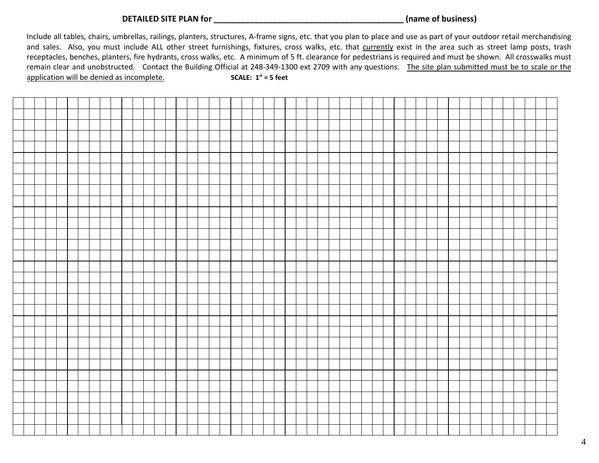**DETAILED SITE PLAN for \_\_\_\_\_\_\_\_\_\_\_\_\_\_\_\_\_\_\_\_\_\_\_\_\_\_\_\_\_\_\_\_\_\_\_\_\_\_\_\_\_\_ (name of business)**

Include all tables, chairs, umbrellas, railings, planters, structures, A-frame signs, etc. that you plan to place and use as part of your outdoor retail merchandising and sales. Also, you must include ALL other street furnishings, fixtures, cross walks, etc. that currently exist in the area such as street lamp posts, trash receptacles, benches, planters, fire hydrants, cross walks, etc. A minimum of 5 ft. clearance for pedestrians is required and must be shown. All crosswalks must remain clear and unobstructed. Contact the Building Official at 248-349-1300 ext 2709 with any questions. The site plan submitted must be to scale or the application will be denied as incomplete. **SCALE: 1" = 5 feet**

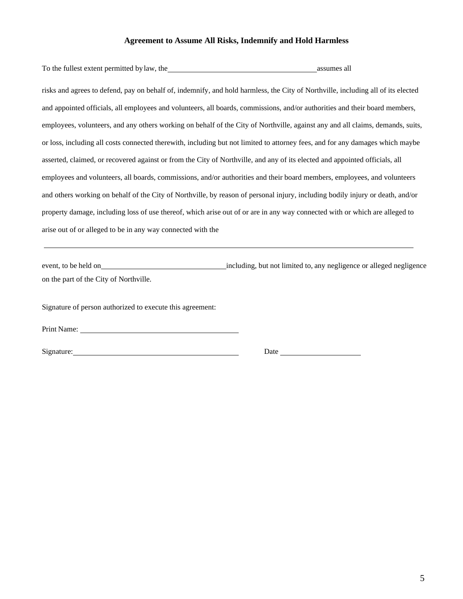#### **Agreement to Assume All Risks, Indemnify and Hold Harmless**

| assumes all                                                                                                                      |
|----------------------------------------------------------------------------------------------------------------------------------|
| risks and agrees to defend, pay on behalf of, indemnify, and hold harmless, the City of Northville, including all of its elected |
| and appointed officials, all employees and volunteers, all boards, commissions, and/or authorities and their board members,      |
| employees, volunteers, and any others working on behalf of the City of Northville, against any and all claims, demands, suits,   |
| or loss, including all costs connected therewith, including but not limited to attorney fees, and for any damages which maybe    |
| asserted, claimed, or recovered against or from the City of Northville, and any of its elected and appointed officials, all      |
| employees and volunteers, all boards, commissions, and/or authorities and their board members, employees, and volunteers         |
| and others working on behalf of the City of Northville, by reason of personal injury, including bodily injury or death, and/or   |
| property damage, including loss of use thereof, which arise out of or are in any way connected with or which are alleged to      |
|                                                                                                                                  |
|                                                                                                                                  |

event, to be held on including, but not limited to, any negligence or alleged negligence on the part of the City of Northville.

Signature of person authorized to execute this agreement:

Print Name:

Signature: Date Date Date Date Date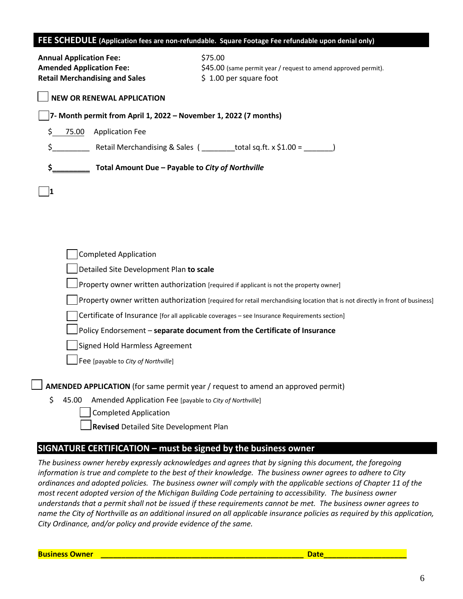### **FEE SCHEDULE (Application fees are non-refundable. Square Footage Fee refundable upon denial only)**

| <b>Annual Application Fee:</b><br><b>Amended Application Fee:</b><br><b>Retail Merchandising and Sales</b> | \$75.00<br>\$45.00 (same permit year / request to amend approved permit).<br>\$1.00 per square foot                         |
|------------------------------------------------------------------------------------------------------------|-----------------------------------------------------------------------------------------------------------------------------|
| <b>NEW OR RENEWAL APPLICATION</b>                                                                          |                                                                                                                             |
| 7- Month permit from April 1, 2022 – November 1, 2022 (7 months)                                           |                                                                                                                             |
| \$<br>75.00<br><b>Application Fee</b>                                                                      |                                                                                                                             |
| \$                                                                                                         | Retail Merchandising & Sales ( _________total sq.ft. x \$1.00 = _______)                                                    |
| \$_<br>Total Amount Due - Payable to City of Northville                                                    |                                                                                                                             |
| 11                                                                                                         |                                                                                                                             |
|                                                                                                            |                                                                                                                             |
|                                                                                                            |                                                                                                                             |
|                                                                                                            |                                                                                                                             |
| <b>Completed Application</b>                                                                               |                                                                                                                             |
| Detailed Site Development Plan to scale                                                                    |                                                                                                                             |
|                                                                                                            | Property owner written authorization [required if applicant is not the property owner]                                      |
|                                                                                                            | Property owner written authorization [required for retail merchandising location that is not directly in front of business] |
|                                                                                                            | Certificate of Insurance [for all applicable coverages - see Insurance Requirements section]                                |
|                                                                                                            | Policy Endorsement - separate document from the Certificate of Insurance                                                    |
| Signed Hold Harmless Agreement                                                                             |                                                                                                                             |
| Fee [payable to City of Northville]                                                                        |                                                                                                                             |
|                                                                                                            | AMENDED APPLICATION (for same permit year / request to amend an approved permit)                                            |
| \$<br>45.00<br>Amended Application Fee [payable to City of Northville]                                     |                                                                                                                             |
| <b>Completed Application</b>                                                                               |                                                                                                                             |

**Revised** Detailed Site Development Plan

# **SIGNATURE CERTIFICATION – must be signed by the business owner**

*The business owner hereby expressly acknowledges and agrees that by signing this document, the foregoing information is true and complete to the best of their knowledge. The business owner agrees to adhere to City ordinances and adopted policies. The business owner will comply with the applicable sections of Chapter 11 of the most recent adopted version of the Michigan Building Code pertaining to accessibility. The business owner understands that a permit shall not be issued if these requirements cannot be met. The business owner agrees to name the City of Northville as an additional insured on all applicable insurance policies as required by this application, City Ordinance, and/or policy and provide evidence of the same.*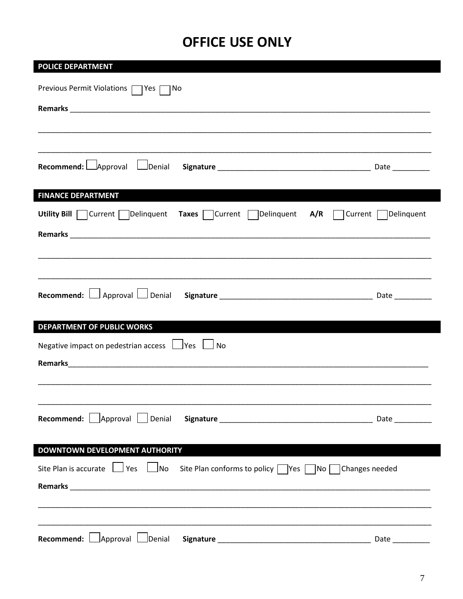# **OFFICE USE ONLY**

| <b>POLICE DEPARTMENT</b>                                                                                                                                                                                                                                          |                 |
|-------------------------------------------------------------------------------------------------------------------------------------------------------------------------------------------------------------------------------------------------------------------|-----------------|
| Previous Permit Violations   Yes   No                                                                                                                                                                                                                             |                 |
|                                                                                                                                                                                                                                                                   |                 |
|                                                                                                                                                                                                                                                                   |                 |
|                                                                                                                                                                                                                                                                   |                 |
|                                                                                                                                                                                                                                                                   |                 |
| <b>Recommend:</b> $\Box$ Approval $\Box$ Denial                                                                                                                                                                                                                   |                 |
| <b>FINANCE DEPARTMENT</b><br><u>in the same of the same of the same of the same of the same of the same of the same of the same of the same of the same of the same of the same of the same of the same of the same of the same of the same of the same of th</u> |                 |
| Utility Bill $\Box$ Current $\Box$ Delinquent Taxes $\Box$ Current $\Box$ Delinquent A/R $\Box$ Current $\Box$ Delinquent                                                                                                                                         |                 |
|                                                                                                                                                                                                                                                                   |                 |
|                                                                                                                                                                                                                                                                   |                 |
|                                                                                                                                                                                                                                                                   |                 |
|                                                                                                                                                                                                                                                                   |                 |
|                                                                                                                                                                                                                                                                   |                 |
|                                                                                                                                                                                                                                                                   |                 |
| DEPARTMENT OF PUBLIC WORKS                                                                                                                                                                                                                                        |                 |
| Negative impact on pedestrian access $\Box$ Yes<br>No                                                                                                                                                                                                             |                 |
| Remarks 2008 2009 2010 2020 2020 2020 2021 2021 2022 2021 2022 2021 2022 2022 2021 2022 2021 2022 2021 2021 20                                                                                                                                                    |                 |
|                                                                                                                                                                                                                                                                   |                 |
|                                                                                                                                                                                                                                                                   |                 |
|                                                                                                                                                                                                                                                                   |                 |
|                                                                                                                                                                                                                                                                   |                 |
| <b>DOWNTOWN DEVELOPMENT AUTHORITY</b>                                                                                                                                                                                                                             |                 |
| Site Plan is accurate $\Box$ Yes $\Box$ No Site Plan conforms to policy $\Box$ Yes $\Box$ No $\Box$ Changes needed                                                                                                                                                |                 |
|                                                                                                                                                                                                                                                                   |                 |
|                                                                                                                                                                                                                                                                   |                 |
|                                                                                                                                                                                                                                                                   |                 |
| Recommend: Approval Denial                                                                                                                                                                                                                                        | Date __________ |
|                                                                                                                                                                                                                                                                   |                 |